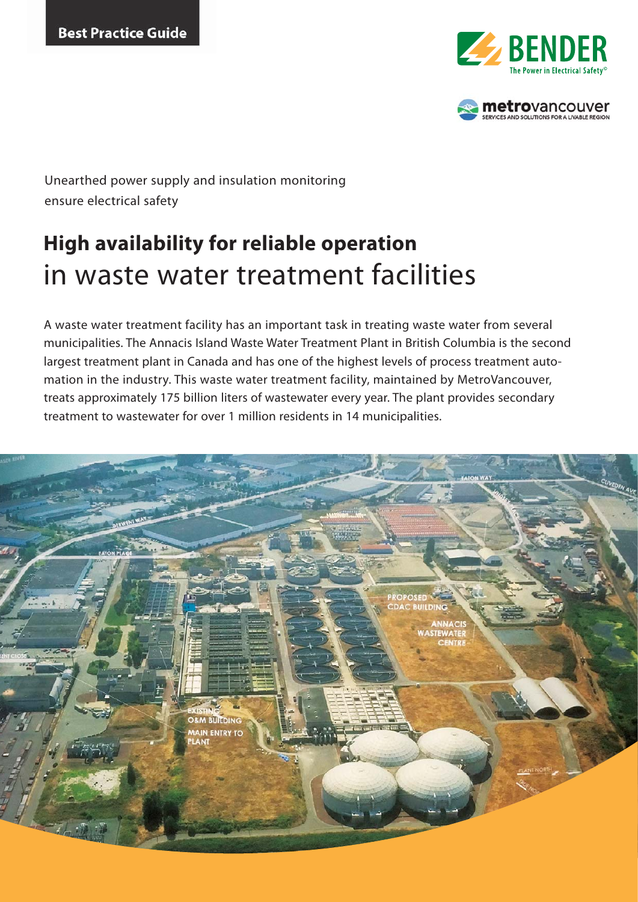



Unearthed power supply and insulation monitoring ensure electrical safety

# **High availability for reliable operation**  in waste water treatment facilities

A waste water treatment facility has an important task in treating waste water from several municipalities. The Annacis Island Waste Water Treatment Plant in British Columbia is the second largest treatment plant in Canada and has one of the highest levels of process treatment automation in the industry. This waste water treatment facility, maintained by MetroVancouver, treats approximately 175 billion liters of wastewater every year. The plant provides secondary treatment to wastewater for over 1 million residents in 14 municipalities.

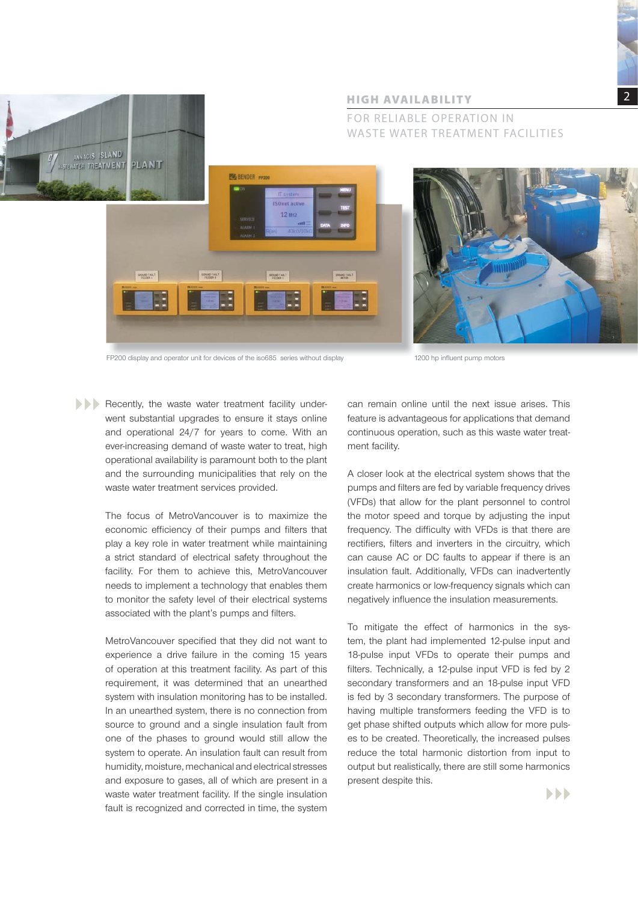



# FOR RELIABLE OPERATION IN WASTE WATER TREATMENT FACILITIES

FP200 display and operator unit for devices of the iso685 series without display 1200 hp influent pump motors

Recently, the waste water treatment facility underwent substantial upgrades to ensure it stays online and operational 24/7 for years to come. With an ever-increasing demand of waste water to treat, high operational availability is paramount both to the plant and the surrounding municipalities that rely on the waste water treatment services provided.

> The focus of MetroVancouver is to maximize the economic efficiency of their pumps and filters that play a key role in water treatment while maintaining a strict standard of electrical safety throughout the facility. For them to achieve this, MetroVancouver needs to implement a technology that enables them to monitor the safety level of their electrical systems associated with the plant's pumps and filters.

> MetroVancouver specified that they did not want to experience a drive failure in the coming 15 years of operation at this treatment facility. As part of this requirement, it was determined that an unearthed system with insulation monitoring has to be installed. In an unearthed system, there is no connection from source to ground and a single insulation fault from one of the phases to ground would still allow the system to operate. An insulation fault can result from humidity, moisture, mechanical and electrical stresses and exposure to gases, all of which are present in a waste water treatment facility. If the single insulation fault is recognized and corrected in time, the system

can remain online until the next issue arises. This feature is advantageous for applications that demand continuous operation, such as this waste water treatment facility.

A closer look at the electrical system shows that the pumps and filters are fed by variable frequency drives (VFDs) that allow for the plant personnel to control the motor speed and torque by adjusting the input frequency. The difficulty with VFDs is that there are rectifiers, filters and inverters in the circuitry, which can cause AC or DC faults to appear if there is an insulation fault. Additionally, VFDs can inadvertently create harmonics or low-frequency signals which can negatively influence the insulation measurements.

To mitigate the effect of harmonics in the system, the plant had implemented 12-pulse input and 18-pulse input VFDs to operate their pumps and filters. Technically, a 12-pulse input VFD is fed by 2 secondary transformers and an 18-pulse input VFD is fed by 3 secondary transformers. The purpose of having multiple transformers feeding the VFD is to get phase shifted outputs which allow for more pulses to be created. Theoretically, the increased pulses reduce the total harmonic distortion from input to output but realistically, there are still some harmonics present despite this.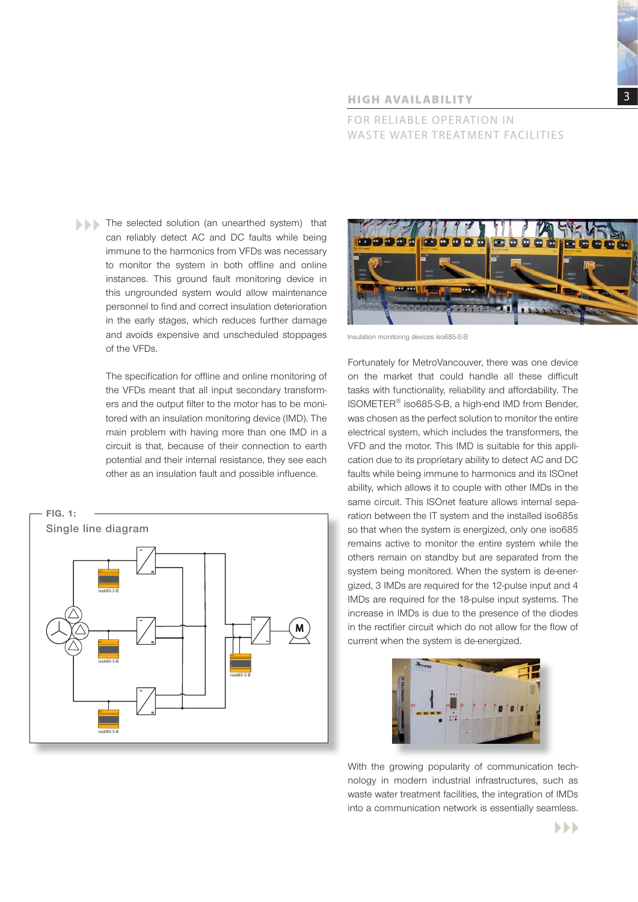3

#### **HIGH AVAILABILITY**

FOR RELIABLE OPERATION IN WASTE WATER TREATMENT FACILITIES

The selected solution (an unearthed system) that can reliably detect AC and DC faults while being immune to the harmonics from VFDs was necessary to monitor the system in both offline and online instances. This ground fault monitoring device in this ungrounded system would allow maintenance personnel to find and correct insulation deterioration in the early stages, which reduces further damage and avoids expensive and unscheduled stoppages of the VFDs.

> The specification for offline and online monitoring of the VFDs meant that all input secondary transformers and the output filter to the motor has to be monitored with an insulation monitoring device (IMD). The main problem with having more than one IMD in a circuit is that, because of their connection to earth potential and their internal resistance, they see each other as an insulation fault and possible influence.





Insulation monitoring devices iso685-S-B

Fortunately for MetroVancouver, there was one device on the market that could handle all these difficult tasks with functionality, reliability and affordability. The ISOMETER® iso685-S-B, a high-end IMD from Bender, was chosen as the perfect solution to monitor the entire electrical system, which includes the transformers, the VFD and the motor. This IMD is suitable for this application due to its proprietary ability to detect AC and DC faults while being immune to harmonics and its ISOnet ability, which allows it to couple with other IMDs in the same circuit. This ISOnet feature allows internal separation between the IT system and the installed iso685s so that when the system is energized, only one iso685 remains active to monitor the entire system while the others remain on standby but are separated from the system being monitored. When the system is de-energized, 3 IMDs are required for the 12-pulse input and 4 IMDs are required for the 18-pulse input systems. The increase in IMDs is due to the presence of the diodes in the rectifier circuit which do not allow for the flow of current when the system is de-energized.



With the growing popularity of communication technology in modern industrial infrastructures, such as waste water treatment facilities, the integration of IMDs into a communication network is essentially seamless.